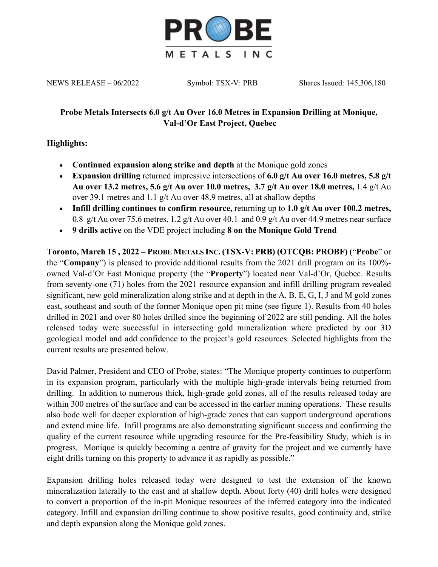

NEWS RELEASE – 06/2022 Symbol: TSX-V: PRB Shares Issued: 145,306,180

# **Probe Metals Intersects 6.0 g/t Au Over 16.0 Metres in Expansion Drilling at Monique, Val-d'Or East Project, Quebec**

# **Highlights:**

- **Continued expansion along strike and depth** at the Monique gold zones
- **Expansion drilling** returned impressive intersections of **6.0 g/t Au over 16.0 metres, 5.8 g/t Au over 13.2 metres, 5.6 g/t Au over 10.0 metres, 3.7 g/t Au over 18.0 metres,** 1.4 g/t Au over 39.1 metres and 1.1 g/t Au over 48.9 metres, all at shallow depths
- **Infill drilling continues to confirm resource,** returning up to **1.0 g/t Au over 100.2 metres,**  0.8 g/t Au over 75.6 metres, 1.2 g/t Au over 40.1 and 0.9 g/t Au over 44.9 metres near surface
- **9 drills active** on the VDE project including **8 on the Monique Gold Trend**

**Toronto, March 15 , 2022 – PROBE METALS INC. (TSX-V: PRB) (OTCQB: PROBF)** ("**Probe**" or the "**Company**") is pleased to provide additional results from the 2021 drill program on its 100% owned Val-d'Or East Monique property (the "**Property**") located near Val-d'Or, Quebec. Results from seventy-one (71) holes from the 2021 resource expansion and infill drilling program revealed significant, new gold mineralization along strike and at depth in the A, B, E, G, I, J and M gold zones east, southeast and south of the former Monique open pit mine (see figure 1). Results from 40 holes drilled in 2021 and over 80 holes drilled since the beginning of 2022 are still pending. All the holes released today were successful in intersecting gold mineralization where predicted by our 3D geological model and add confidence to the project's gold resources. Selected highlights from the current results are presented below.

David Palmer, President and CEO of Probe, states: "The Monique property continues to outperform in its expansion program, particularly with the multiple high-grade intervals being returned from drilling. In addition to numerous thick, high-grade gold zones, all of the results released today are within 300 metres of the surface and can be accessed in the earlier mining operations. These results also bode well for deeper exploration of high-grade zones that can support underground operations and extend mine life. Infill programs are also demonstrating significant success and confirming the quality of the current resource while upgrading resource for the Pre-feasibility Study, which is in progress. Monique is quickly becoming a centre of gravity for the project and we currently have eight drills turning on this property to advance it as rapidly as possible."

Expansion drilling holes released today were designed to test the extension of the known mineralization laterally to the east and at shallow depth. About forty (40) drill holes were designed to convert a proportion of the in-pit Monique resources of the inferred category into the indicated category. Infill and expansion drilling continue to show positive results, good continuity and, strike and depth expansion along the Monique gold zones.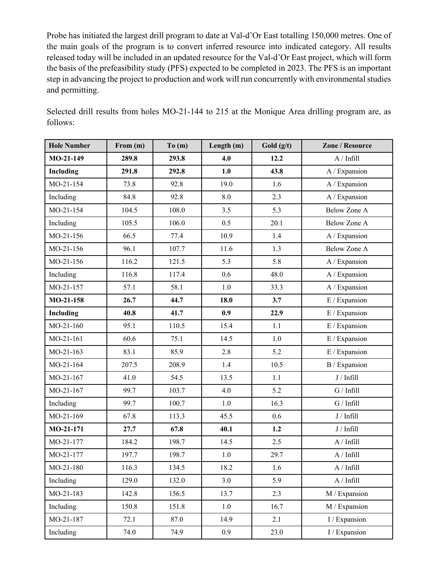Probe has initiated the largest drill program to date at Val-d'Or East totalling 150,000 metres. One of the main goals of the program is to convert inferred resource into indicated category. All results released today will be included in an updated resource for the Val-d'Or East project, which will form the basis of the prefeasibility study (PFS) expected to be completed in 2023. The PFS is an important step in advancing the project to production and work will run concurrently with environmental studies and permitting.

Selected drill results from holes MO-21-144 to 215 at the Monique Area drilling program are, as follows:

| <b>Hole Number</b> | From (m) | To(m) | Length (m) | Gold $(g/t)$ | Zone / Resource     |
|--------------------|----------|-------|------------|--------------|---------------------|
| MO-21-149          | 289.8    | 293.8 | 4.0        | 12.2         | A / Infill          |
| Including          | 291.8    | 292.8 | 1.0        | 43.8         | A / Expansion       |
| MO-21-154          | 73.8     | 92.8  | 19.0       | 1.6          | A / Expansion       |
| Including          | 84.8     | 92.8  | 8.0        | 2.3          | A / Expansion       |
| MO-21-154          | 104.5    | 108.0 | 3.5        | 5.3          | <b>Below Zone A</b> |
| Including          | 105.5    | 106.0 | 0.5        | 20.1         | Below Zone A        |
| MO-21-156          | 66.5     | 77.4  | 10.9       | 1.4          | A / Expansion       |
| MO-21-156          | 96.1     | 107.7 | 11.6       | 1.3          | Below Zone A        |
| MO-21-156          | 116.2    | 121.5 | 5.3        | 5.8          | A / Expansion       |
| Including          | 116.8    | 117.4 | 0.6        | 48.0         | A / Expansion       |
| MO-21-157          | 57.1     | 58.1  | 1.0        | 33.3         | A / Expansion       |
| MO-21-158          | 26.7     | 44.7  | 18.0       | 3.7          | E / Expansion       |
| Including          | 40.8     | 41.7  | 0.9        | 22.9         | E / Expansion       |
| MO-21-160          | 95.1     | 110.5 | 15.4       | 1.1          | E / Expansion       |
| MO-21-161          | 60.6     | 75.1  | 14.5       | 1.0          | E / Expansion       |
| MO-21-163          | 83.1     | 85.9  | 2.8        | 5.2          | $\to$ / Expansion   |
| MO-21-164          | 207.5    | 208.9 | 1.4        | 10.5         | B / Expansion       |
| MO-21-167          | 41.0     | 54.5  | 13.5       | 1.1          | J / Infill          |
| MO-21-167          | 99.7     | 103.7 | 4.0        | 5.2          | G / Infill          |
| Including          | 99.7     | 100.7 | 1.0        | 16.3         | G / Infill          |
| MO-21-169          | 67.8     | 113.3 | 45.5       | 0.6          | J / Infill          |
| MO-21-171          | 27.7     | 67.8  | 40.1       | 1.2          | J / Infill          |
| MO-21-177          | 184.2    | 198.7 | 14.5       | 2.5          | A / Infill          |
| MO-21-177          | 197.7    | 198.7 | 1.0        | 29.7         | A / Infill          |
| MO-21-180          | 116.3    | 134.5 | 18.2       | 1.6          | $\rm A$ / Infill    |
| Including          | 129.0    | 132.0 | 3.0        | 5.9          | A / Infill          |
| MO-21-183          | 142.8    | 156.5 | 13.7       | 2.3          | M / Expansion       |
| Including          | 150.8    | 151.8 | $1.0\,$    | 16.7         | M / Expansion       |
| MO-21-187          | 72.1     | 87.0  | 14.9       | 2.1          | I / Expansion       |
| Including          | 74.0     | 74.9  | 0.9        | 23.0         | I / Expansion       |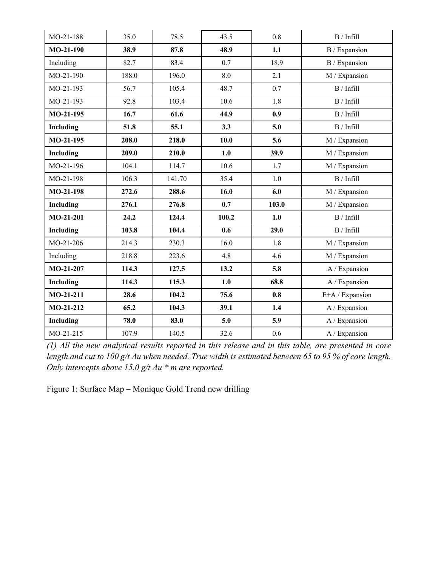| MO-21-188   | 35.0  | 78.5   | 43.5  | 0.8   | B / Infill       |
|-------------|-------|--------|-------|-------|------------------|
| $MO-21-190$ | 38.9  | 87.8   | 48.9  | 1.1   | B / Expansion    |
| Including   | 82.7  | 83.4   | 0.7   | 18.9  | B / Expansion    |
| MO-21-190   | 188.0 | 196.0  | 8.0   | 2.1   | M / Expansion    |
| MO-21-193   | 56.7  | 105.4  | 48.7  | 0.7   | B / Infill       |
| MO-21-193   | 92.8  | 103.4  | 10.6  | 1.8   | B / Infill       |
| MO-21-195   | 16.7  | 61.6   | 44.9  | 0.9   | B / Infill       |
| Including   | 51.8  | 55.1   | 3.3   | 5.0   | $\bf B$ / Infill |
| $MO-21-195$ | 208.0 | 218.0  | 10.0  | 5.6   | M / Expansion    |
| Including   | 209.0 | 210.0  | 1.0   | 39.9  | M / Expansion    |
| MO-21-196   | 104.1 | 114.7  | 10.6  | 1.7   | M / Expansion    |
| MO-21-198   | 106.3 | 141.70 | 35.4  | 1.0   | B / Infill       |
| MO-21-198   | 272.6 | 288.6  | 16.0  | 6.0   | M / Expansion    |
| Including   | 276.1 | 276.8  | 0.7   | 103.0 | M / Expansion    |
| $MO-21-201$ | 24.2  | 124.4  | 100.2 | 1.0   | B / Infill       |
| Including   | 103.8 | 104.4  | 0.6   | 29.0  | B / Infill       |
| MO-21-206   | 214.3 | 230.3  | 16.0  | 1.8   | M / Expansion    |
| Including   | 218.8 | 223.6  | 4.8   | 4.6   | M / Expansion    |
| MO-21-207   | 114.3 | 127.5  | 13.2  | 5.8   | A / Expansion    |
| Including   | 114.3 | 115.3  | 1.0   | 68.8  | A / Expansion    |
| $MO-21-211$ | 28.6  | 104.2  | 75.6  | 0.8   | E+A / Expansion  |
| $MO-21-212$ | 65.2  | 104.3  | 39.1  | 1.4   | A / Expansion    |
| Including   | 78.0  | 83.0   | 5.0   | 5.9   | A / Expansion    |
| MO-21-215   | 107.9 | 140.5  | 32.6  | 0.6   | A / Expansion    |

*(1) All the new analytical results reported in this release and in this table, are presented in core length and cut to 100 g/t Au when needed. True width is estimated between 65 to 95 % of core length. Only intercepts above 15.0 g/t Au \* m are reported.*

Figure 1: Surface Map – Monique Gold Trend new drilling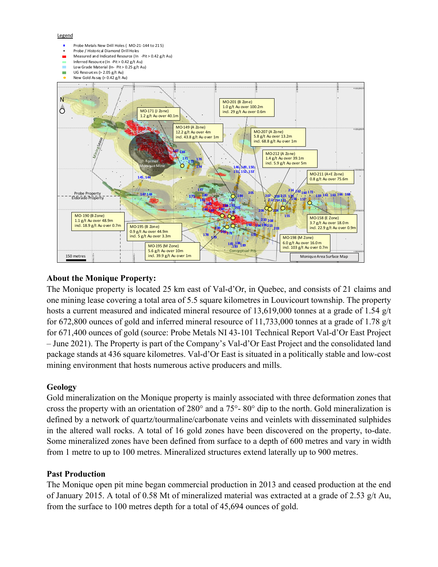

# **About the Monique Property:**

The Monique property is located 25 km east of Val-d'Or, in Quebec, and consists of 21 claims and one mining lease covering a total area of 5.5 square kilometres in Louvicourt township. The property hosts a current measured and indicated mineral resource of 13,619,000 tonnes at a grade of 1.54 g/t for 672,800 ounces of gold and inferred mineral resource of 11,733,000 tonnes at a grade of 1.78 g/t for 671,400 ounces of gold (source: Probe Metals NI 43-101 Technical Report Val-d'Or East Project – June 2021). The Property is part of the Company's Val-d'Or East Project and the consolidated land package stands at 436 square kilometres. Val-d'Or East is situated in a politically stable and low-cost mining environment that hosts numerous active producers and mills.

## **Geology**

Gold mineralization on the Monique property is mainly associated with three deformation zones that cross the property with an orientation of 280° and a 75°- 80° dip to the north. Gold mineralization is defined by a network of quartz/tourmaline/carbonate veins and veinlets with disseminated sulphides in the altered wall rocks. A total of 16 gold zones have been discovered on the property, to-date. Some mineralized zones have been defined from surface to a depth of 600 metres and vary in width from 1 metre to up to 100 metres. Mineralized structures extend laterally up to 900 metres.

## **Past Production**

The Monique open pit mine began commercial production in 2013 and ceased production at the end of January 2015. A total of 0.58 Mt of mineralized material was extracted at a grade of 2.53 g/t Au, from the surface to 100 metres depth for a total of 45,694 ounces of gold.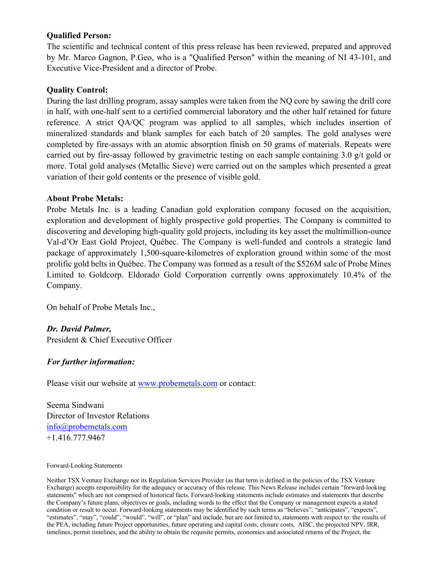### **Qualified Person:**

The scientific and technical content of this press release has been reviewed, prepared and approved by Mr. Marco Gagnon, P.Geo, who is a "Qualified Person" within the meaning of NI 43-101, and Executive Vice-President and a director of Probe.

### **Quality Control:**

During the last drilling program, assay samples were taken from the NQ core by sawing the drill core in half, with one-half sent to a certified commercial laboratory and the other half retained for future reference. A strict QA/QC program was applied to all samples, which includes insertion of mineralized standards and blank samples for each batch of 20 samples. The gold analyses were completed by fire-assays with an atomic absorption finish on 50 grams of materials. Repeats were carried out by fire-assay followed by gravimetric testing on each sample containing 3.0 g/t gold or more. Total gold analyses (Metallic Sieve) were carried out on the samples which presented a great variation of their gold contents or the presence of visible gold.

#### **About Probe Metals:**

Probe Metals Inc. is a leading Canadian gold exploration company focused on the acquisition, exploration and development of highly prospective gold properties. The Company is committed to discovering and developing high-quality gold projects, including its key asset the multimillion-ounce Val-d'Or East Gold Project, Québec. The Company is well-funded and controls a strategic land package of approximately 1,500-square-kilometres of exploration ground within some of the most prolific gold belts in Québec. The Company was formed as a result of the \$526M sale of Probe Mines Limited to Goldcorp. Eldorado Gold Corporation currently owns approximately 10.4% of the Company.

On behalf of Probe Metals Inc.,

*Dr. David Palmer,* President & Chief Executive Officer

## *For further information:*

Please visit our website at www.probemetals.com or contact:

Seema Sindwani Director of Investor Relations info@probemetals.com +1.416.777.9467

#### Forward-Looking Statements

Neither TSX Venture Exchange nor its Regulation Services Provider (as that term is defined in the policies of the TSX Venture Exchange) accepts responsibility for the adequacy or accuracy of this release. This News Release includes certain "forward-looking statements" which are not comprised of historical facts. Forward-looking statements include estimates and statements that describe the Company's future plans, objectives or goals, including words to the effect that the Company or management expects a stated condition or result to occur. Forward-looking statements may be identified by such terms as "believes", "anticipates", "expects", "estimates", "may", "could", "would", "will", or "plan" and include, but are not limited to, statements with respect to: the results of the PEA, including future Project opportunities, future operating and capital costs, closure costs, AISC, the projected NPV, IRR, timelines, permit timelines, and the ability to obtain the requisite permits, economics and associated returns of the Project, the